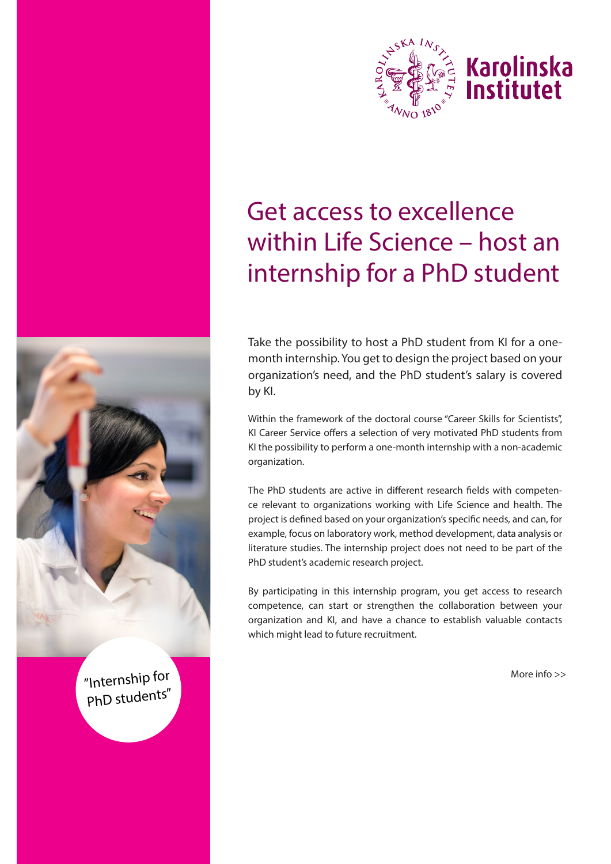

# Get access to excellence within Life Science – host an internship for a PhD student

Take the possibility to host a PhD student from KI for a onemonth internship. You get to design the project based on your organization's need, and the PhD student's salary is covered by KI.

Within the framework of the doctoral course "Career Skills for Scientists", KI Career Service offers a selection of very motivated PhD students from KI the possibility to perform a one-month internship with a non-academic organization.

The PhD students are active in different research fields with competence relevant to organizations working with Life Science and health. The project is defined based on your organization's specific needs, and can, for example, focus on laboratory work, method development, data analysis or literature studies. The internship project does not need to be part of the PhD student's academic research project.

By participating in this internship program, you get access to research competence, can start or strengthen the collaboration between your organization and KI, and have a chance to establish valuable contacts which might lead to future recruitment.

More info >>